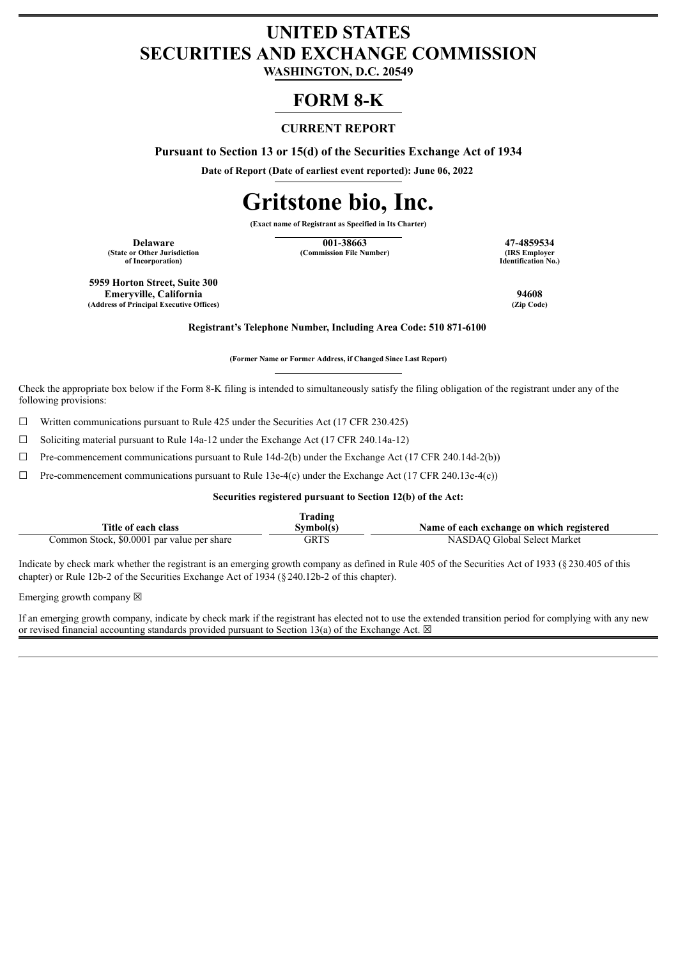## **UNITED STATES SECURITIES AND EXCHANGE COMMISSION**

**WASHINGTON, D.C. 20549**

### **FORM 8-K**

#### **CURRENT REPORT**

**Pursuant to Section 13 or 15(d) of the Securities Exchange Act of 1934**

**Date of Report (Date of earliest event reported): June 06, 2022**

# **Gritstone bio, Inc.**

**(Exact name of Registrant as Specified in Its Charter)**

**(State or Other Jurisdiction of Incorporation)**

**Delaware 17-4859534**<br> **17-4859534**<br> **17-4859534**<br> **188 Employer 1988**<br> **188 Employer (Commission File Number)** 

**Identification No.)**

**5959 Horton Street, Suite 300 Emeryville, California 94608 (Address of Principal Executive Offices) (Zip Code)**

**Registrant's Telephone Number, Including Area Code: 510 871-6100**

**(Former Name or Former Address, if Changed Since Last Report)**

Check the appropriate box below if the Form 8-K filing is intended to simultaneously satisfy the filing obligation of the registrant under any of the following provisions:

 $\Box$  Written communications pursuant to Rule 425 under the Securities Act (17 CFR 230.425)

☐ Soliciting material pursuant to Rule 14a-12 under the Exchange Act (17 CFR 240.14a-12)

 $\Box$  Pre-commencement communications pursuant to Rule 14d-2(b) under the Exchange Act (17 CFR 240.14d-2(b))

 $\Box$  Pre-commencement communications pursuant to Rule 13e-4(c) under the Exchange Act (17 CFR 240.13e-4(c))

#### **Securities registered pursuant to Section 12(b) of the Act:**

|                                            | lrading   |                                           |
|--------------------------------------------|-----------|-------------------------------------------|
| Title of each class                        | Svmbol(s` | Name of each exchange on which registered |
| Common Stock, \$0.0001 par value per share | GRTS      | NASDAO Global Select Market               |

Indicate by check mark whether the registrant is an emerging growth company as defined in Rule 405 of the Securities Act of 1933 (§230.405 of this chapter) or Rule 12b-2 of the Securities Exchange Act of 1934 (§240.12b-2 of this chapter).

Emerging growth company  $\boxtimes$ 

If an emerging growth company, indicate by check mark if the registrant has elected not to use the extended transition period for complying with any new or revised financial accounting standards provided pursuant to Section 13(a) of the Exchange Act.  $\boxtimes$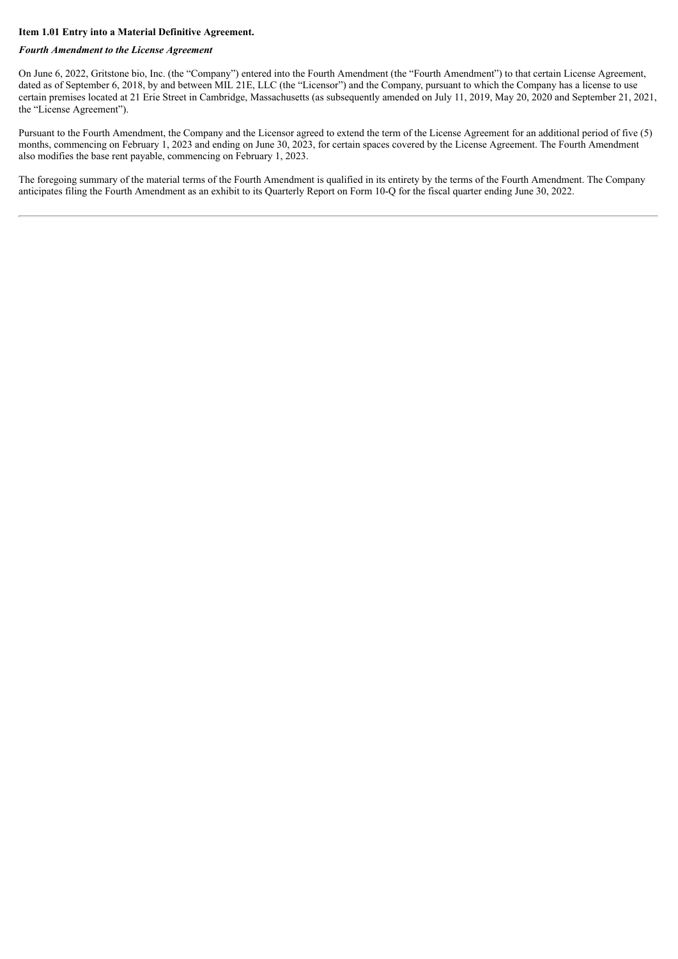#### **Item 1.01 Entry into a Material Definitive Agreement.**

#### *Fourth Amendment to the License Agreement*

On June 6, 2022, Gritstone bio, Inc. (the "Company") entered into the Fourth Amendment (the "Fourth Amendment") to that certain License Agreement, dated as of September 6, 2018, by and between MIL 21E, LLC (the "Licensor") and the Company, pursuant to which the Company has a license to use certain premises located at 21 Erie Street in Cambridge, Massachusetts (as subsequently amended on July 11, 2019, May 20, 2020 and September 21, 2021, the "License Agreement").

Pursuant to the Fourth Amendment, the Company and the Licensor agreed to extend the term of the License Agreement for an additional period of five (5) months, commencing on February 1, 2023 and ending on June 30, 2023, for certain spaces covered by the License Agreement. The Fourth Amendment also modifies the base rent payable, commencing on February 1, 2023.

The foregoing summary of the material terms of the Fourth Amendment is qualified in its entirety by the terms of the Fourth Amendment. The Company anticipates filing the Fourth Amendment as an exhibit to its Quarterly Report on Form 10-Q for the fiscal quarter ending June 30, 2022.